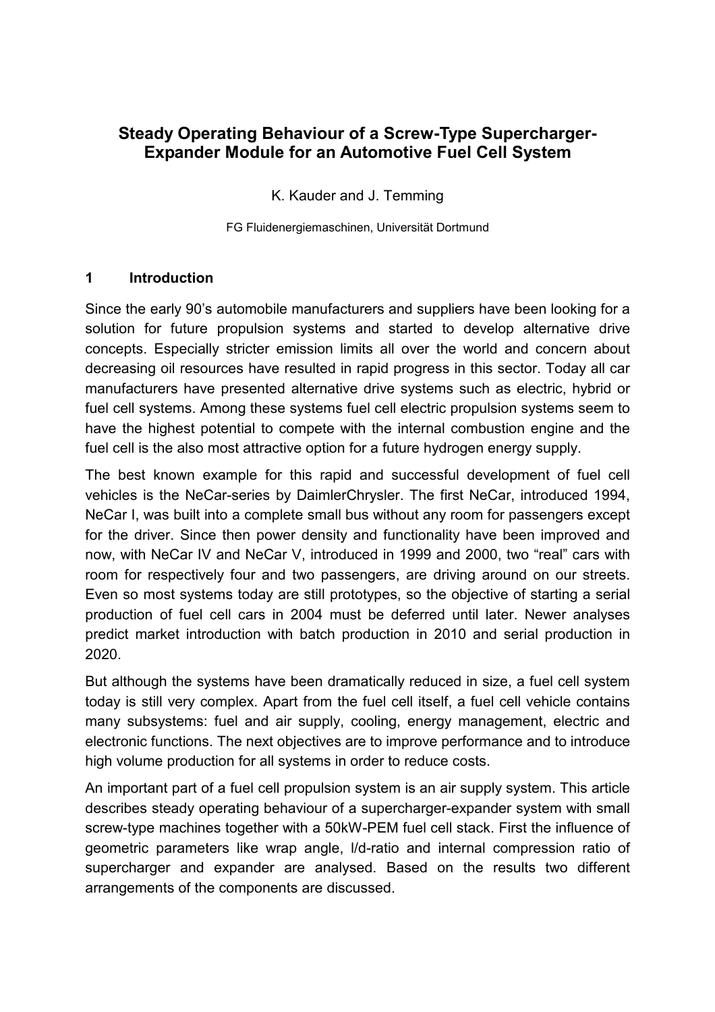# **Steady Operating Behaviour of a Screw-Type Supercharger-Expander Module for an Automotive Fuel Cell System**

K. Kauder and J. Temming

FG Fluidenergiemaschinen, Universität Dortmund

### **1 Introduction**

Since the early 90's automobile manufacturers and suppliers have been looking for a solution for future propulsion systems and started to develop alternative drive concepts. Especially stricter emission limits all over the world and concern about decreasing oil resources have resulted in rapid progress in this sector. Today all car manufacturers have presented alternative drive systems such as electric, hybrid or fuel cell systems. Among these systems fuel cell electric propulsion systems seem to have the highest potential to compete with the internal combustion engine and the fuel cell is the also most attractive option for a future hydrogen energy supply.

The best known example for this rapid and successful development of fuel cell vehicles is the NeCar-series by DaimlerChrysler. The first NeCar, introduced 1994, NeCar I, was built into a complete small bus without any room for passengers except for the driver. Since then power density and functionality have been improved and now, with NeCar IV and NeCar V, introduced in 1999 and 2000, two "real" cars with room for respectively four and two passengers, are driving around on our streets. Even so most systems today are still prototypes, so the objective of starting a serial production of fuel cell cars in 2004 must be deferred until later. Newer analyses predict market introduction with batch production in 2010 and serial production in 2020.

But although the systems have been dramatically reduced in size, a fuel cell system today is still very complex. Apart from the fuel cell itself, a fuel cell vehicle contains many subsystems: fuel and air supply, cooling, energy management, electric and electronic functions. The next objectives are to improve performance and to introduce high volume production for all systems in order to reduce costs.

An important part of a fuel cell propulsion system is an air supply system. This article describes steady operating behaviour of a supercharger-expander system with small screw-type machines together with a 50kW-PEM fuel cell stack. First the influence of geometric parameters like wrap angle, l/d-ratio and internal compression ratio of supercharger and expander are analysed. Based on the results two different arrangements of the components are discussed.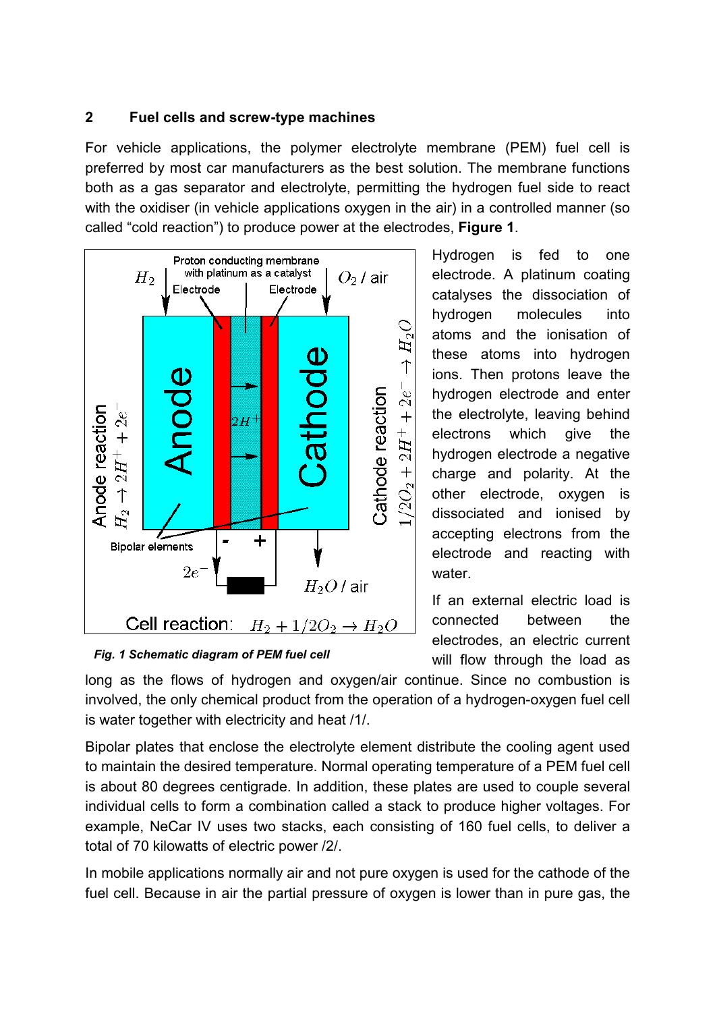#### **2 Fuel cells and screw-type machines**

For vehicle applications, the polymer electrolyte membrane (PEM) fuel cell is preferred by most car manufacturers as the best solution. The membrane functions both as a gas separator and electrolyte, permitting the hydrogen fuel side to react with the oxidiser (in vehicle applications oxygen in the air) in a controlled manner (so called "cold reaction") to produce power at the electrodes, **Figure 1**.



Hydrogen is fed to one electrode. A platinum coating catalyses the dissociation of hydrogen molecules into atoms and the ionisation of these atoms into hydrogen ions. Then protons leave the hydrogen electrode and enter the electrolyte, leaving behind electrons which give the hydrogen electrode a negative charge and polarity. At the other electrode, oxygen is dissociated and ionised by accepting electrons from the electrode and reacting with water.

If an external electric load is connected between the electrodes, an electric current will flow through the load as

*Fig. 1 Schematic diagram of PEM fuel cell* 

long as the flows of hydrogen and oxygen/air continue. Since no combustion is involved, the only chemical product from the operation of a hydrogen-oxygen fuel cell is water together with electricity and heat /1/.

Bipolar plates that enclose the electrolyte element distribute the cooling agent used to maintain the desired temperature. Normal operating temperature of a PEM fuel cell is about 80 degrees centigrade. In addition, these plates are used to couple several individual cells to form a combination called a stack to produce higher voltages. For example, NeCar IV uses two stacks, each consisting of 160 fuel cells, to deliver a total of 70 kilowatts of electric power /2/.

In mobile applications normally air and not pure oxygen is used for the cathode of the fuel cell. Because in air the partial pressure of oxygen is lower than in pure gas, the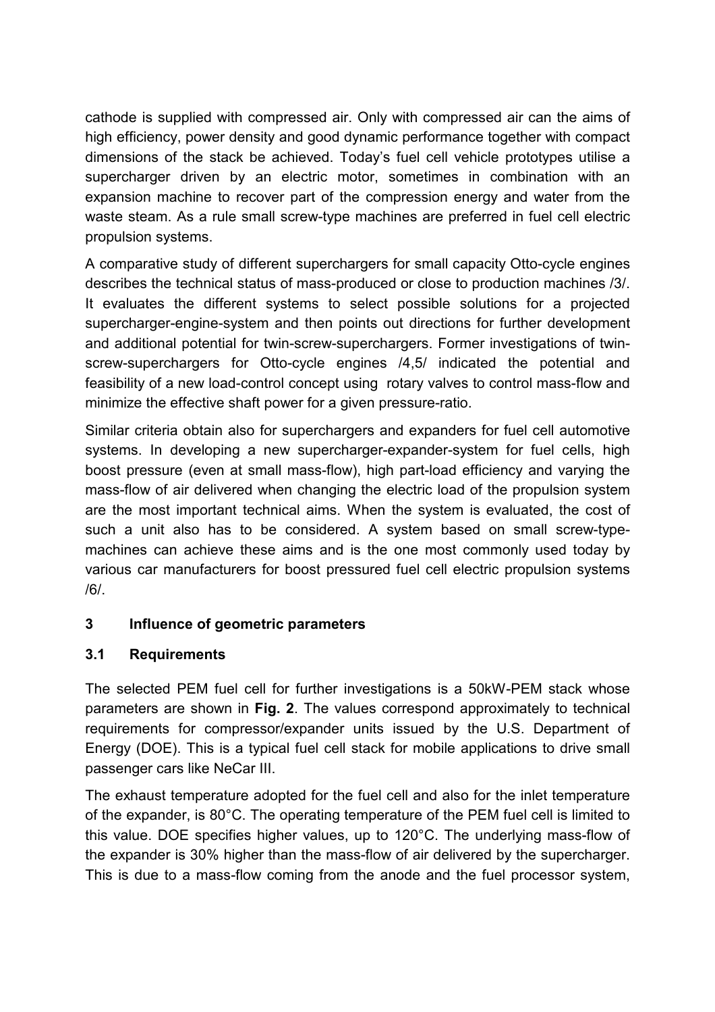cathode is supplied with compressed air. Only with compressed air can the aims of high efficiency, power density and good dynamic performance together with compact dimensions of the stack be achieved. Today's fuel cell vehicle prototypes utilise a supercharger driven by an electric motor, sometimes in combination with an expansion machine to recover part of the compression energy and water from the waste steam. As a rule small screw-type machines are preferred in fuel cell electric propulsion systems.

A comparative study of different superchargers for small capacity Otto-cycle engines describes the technical status of mass-produced or close to production machines /3/. It evaluates the different systems to select possible solutions for a projected supercharger-engine-system and then points out directions for further development and additional potential for twin-screw-superchargers. Former investigations of twinscrew-superchargers for Otto-cycle engines /4,5/ indicated the potential and feasibility of a new load-control concept using rotary valves to control mass-flow and minimize the effective shaft power for a given pressure-ratio.

Similar criteria obtain also for superchargers and expanders for fuel cell automotive systems. In developing a new supercharger-expander-system for fuel cells, high boost pressure (even at small mass-flow), high part-load efficiency and varying the mass-flow of air delivered when changing the electric load of the propulsion system are the most important technical aims. When the system is evaluated, the cost of such a unit also has to be considered. A system based on small screw-typemachines can achieve these aims and is the one most commonly used today by various car manufacturers for boost pressured fuel cell electric propulsion systems /6/.

## **3 Influence of geometric parameters**

## **3.1 Requirements**

The selected PEM fuel cell for further investigations is a 50kW-PEM stack whose parameters are shown in **[Fig. 2](#page-3-0)**. The values correspond approximately to technical requirements for compressor/expander units issued by the U.S. Department of Energy (DOE). This is a typical fuel cell stack for mobile applications to drive small passenger cars like NeCar III.

The exhaust temperature adopted for the fuel cell and also for the inlet temperature of the expander, is 80°C. The operating temperature of the PEM fuel cell is limited to this value. DOE specifies higher values, up to 120°C. The underlying mass-flow of the expander is 30% higher than the mass-flow of air delivered by the supercharger. This is due to a mass-flow coming from the anode and the fuel processor system,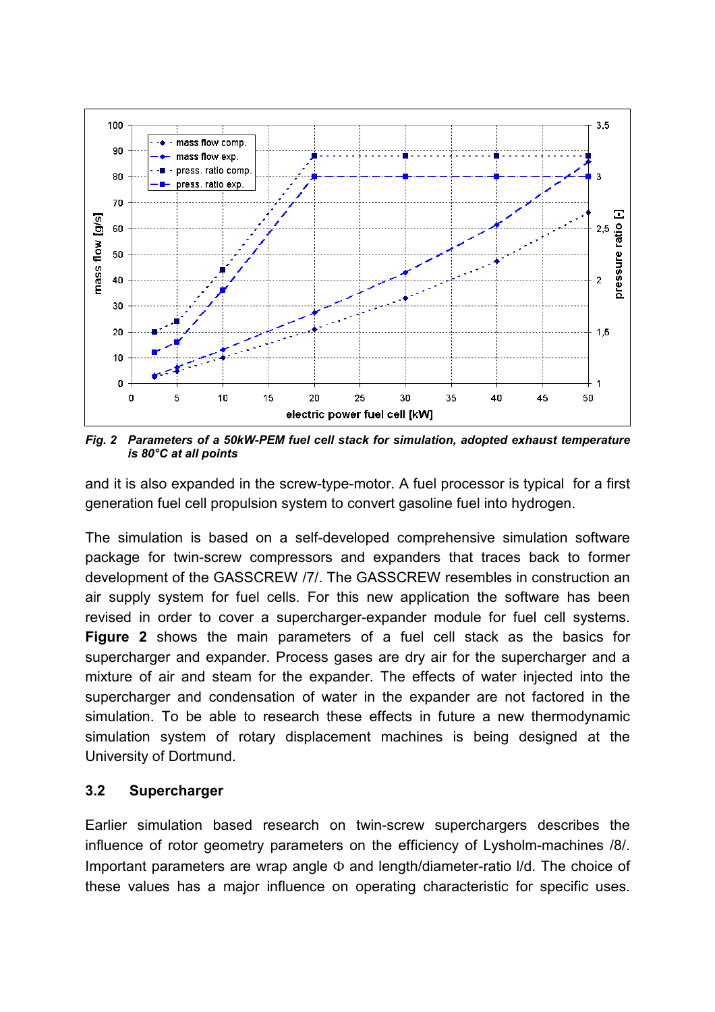

<span id="page-3-0"></span>*Fig. 2 Parameters of a 50kW-PEM fuel cell stack for simulation, adopted exhaust temperature is 80°C at all points* 

and it is also expanded in the screw-type-motor. A fuel processor is typical for a first generation fuel cell propulsion system to convert gasoline fuel into hydrogen.

The simulation is based on a self-developed comprehensive simulation software package for twin-screw compressors and expanders that traces back to former development of the GASSCREW /7/. The GASSCREW resembles in construction an air supply system for fuel cells. For this new application the software has been revised in order to cover a supercharger-expander module for fuel cell systems. **Figure 2** shows the main parameters of a fuel cell stack as the basics for supercharger and expander. Process gases are dry air for the supercharger and a mixture of air and steam for the expander. The effects of water injected into the supercharger and condensation of water in the expander are not factored in the simulation. To be able to research these effects in future a new thermodynamic simulation system of rotary displacement machines is being designed at the University of Dortmund.

### **3.2 Supercharger**

Earlier simulation based research on twin-screw superchargers describes the influence of rotor geometry parameters on the efficiency of Lysholm-machines /8/. Important parameters are wrap angle  $\Phi$  and length/diameter-ratio I/d. The choice of these values has a major influence on operating characteristic for specific uses.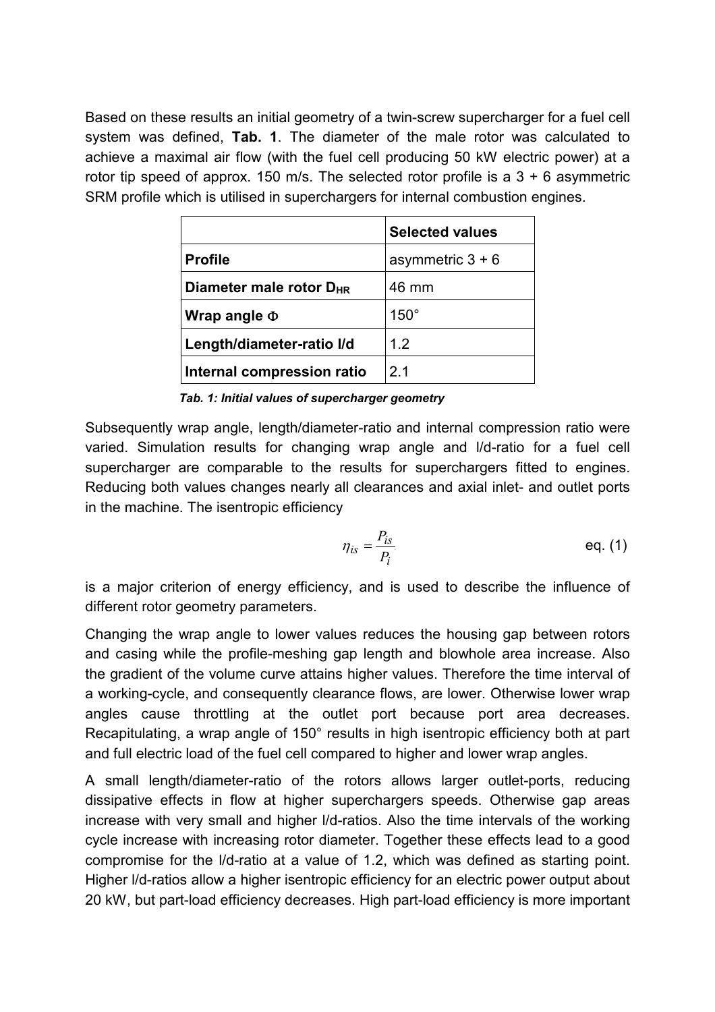Based on these results an initial geometry of a twin-screw supercharger for a fuel cell system was defined, **[Tab. 1](#page-4-0)**. The diameter of the male rotor was calculated to achieve a maximal air flow (with the fuel cell producing 50 kW electric power) at a rotor tip speed of approx. 150 m/s. The selected rotor profile is a  $3 + 6$  asymmetric SRM profile which is utilised in superchargers for internal combustion engines.

|                                     | <b>Selected values</b> |  |
|-------------------------------------|------------------------|--|
| <b>Profile</b>                      | asymmetric $3 + 6$     |  |
| Diameter male rotor D <sub>HR</sub> | 46 mm                  |  |
| Wrap angle $\Phi$                   | $150^\circ$            |  |
| 12<br>Length/diameter-ratio I/d     |                        |  |
| Internal compression ratio          | 2 <sub>1</sub>         |  |

<span id="page-4-0"></span>*Tab. 1: Initial values of supercharger geometry*

Subsequently wrap angle, length/diameter-ratio and internal compression ratio were varied. Simulation results for changing wrap angle and l/d-ratio for a fuel cell supercharger are comparable to the results for superchargers fitted to engines. Reducing both values changes nearly all clearances and axial inlet- and outlet ports in the machine. The isentropic efficiency

$$
\eta_{is} = \frac{P_{is}}{P_i} \qquad \qquad \text{eq. (1)}
$$

is a major criterion of energy efficiency, and is used to describe the influence of different rotor geometry parameters.

Changing the wrap angle to lower values reduces the housing gap between rotors and casing while the profile-meshing gap length and blowhole area increase. Also the gradient of the volume curve attains higher values. Therefore the time interval of a working-cycle, and consequently clearance flows, are lower. Otherwise lower wrap angles cause throttling at the outlet port because port area decreases. Recapitulating, a wrap angle of 150° results in high isentropic efficiency both at part and full electric load of the fuel cell compared to higher and lower wrap angles.

A small length/diameter-ratio of the rotors allows larger outlet-ports, reducing dissipative effects in flow at higher superchargers speeds. Otherwise gap areas increase with very small and higher l/d-ratios. Also the time intervals of the working cycle increase with increasing rotor diameter. Together these effects lead to a good compromise for the l/d-ratio at a value of 1.2, which was defined as starting point. Higher l/d-ratios allow a higher isentropic efficiency for an electric power output about 20 kW, but part-load efficiency decreases. High part-load efficiency is more important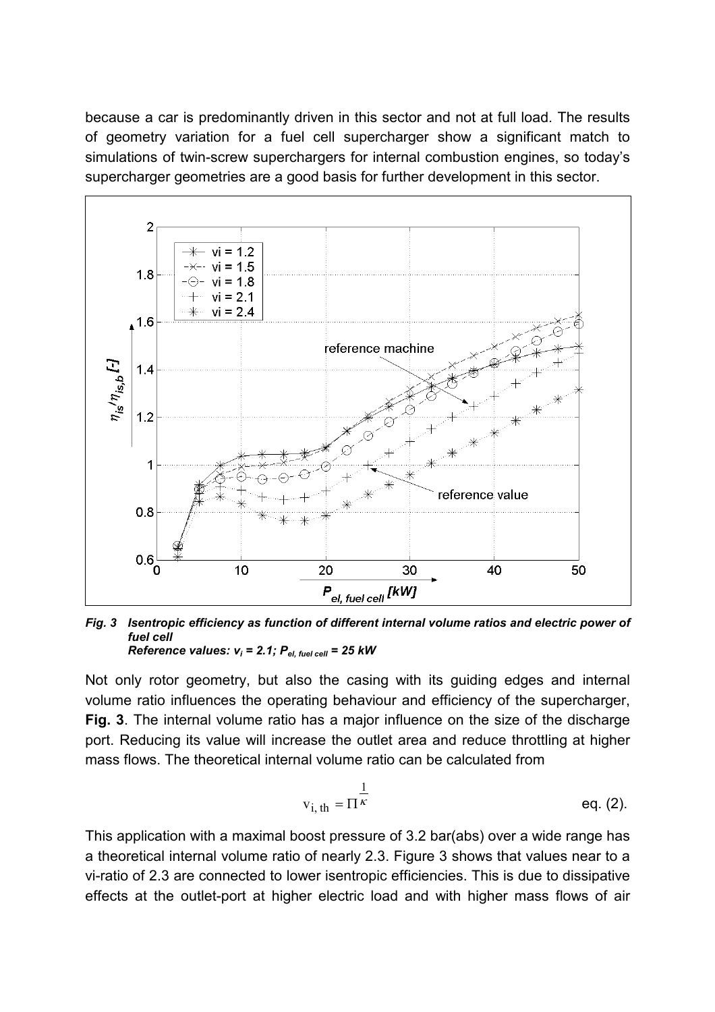because a car is predominantly driven in this sector and not at full load. The results of geometry variation for a fuel cell supercharger show a significant match to simulations of twin-screw superchargers for internal combustion engines, so today's supercharger geometries are a good basis for further development in this sector.



<span id="page-5-0"></span>*Fig. 3 Isentropic efficiency as function of different internal volume ratios and electric power of fuel cell Reference values:*  $v_i = 2.1$ ;  $P_{el, fuel cell} = 25$  kW

Not only rotor geometry, but also the casing with its guiding edges and internal volume ratio influences the operating behaviour and efficiency of the supercharger, **[Fig. 3](#page-5-0)**. The internal volume ratio has a major influence on the size of the discharge port. Reducing its value will increase the outlet area and reduce throttling at higher mass flows. The theoretical internal volume ratio can be calculated from

$$
v_{i, th} = \Pi^{\overline{k}} \qquad \qquad \text{eq. (2)}.
$$

This application with a maximal boost pressure of 3.2 bar(abs) over a wide range has a theoretical internal volume ratio of nearly 2.3. Figure 3 shows that values near to a vi-ratio of 2.3 are connected to lower isentropic efficiencies. This is due to dissipative effects at the outlet-port at higher electric load and with higher mass flows of air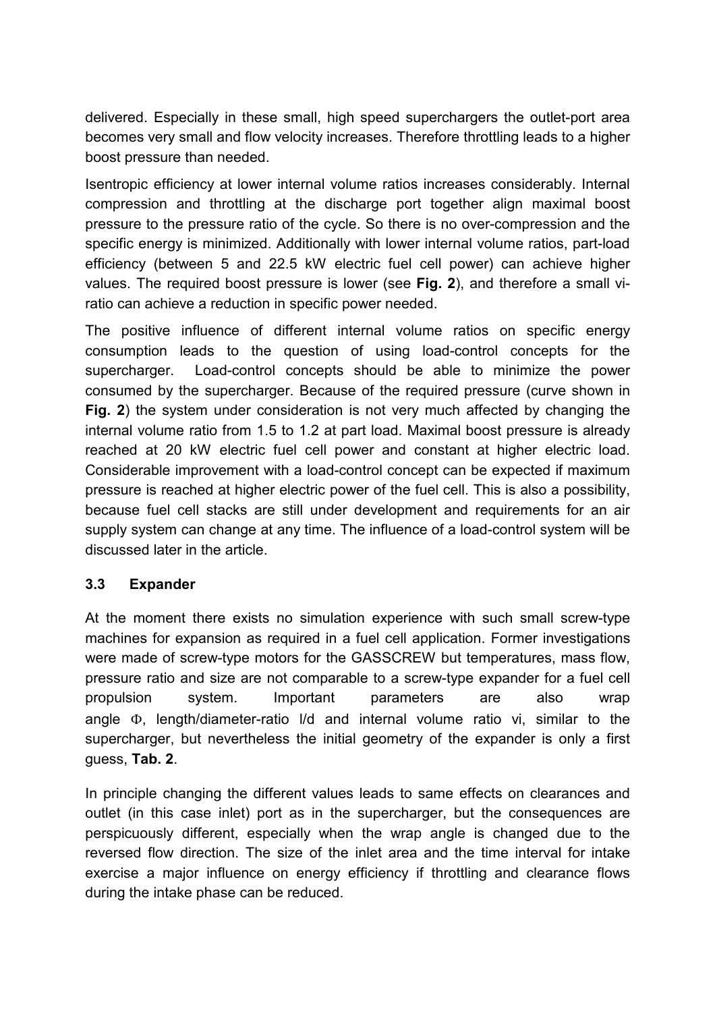delivered. Especially in these small, high speed superchargers the outlet-port area becomes very small and flow velocity increases. Therefore throttling leads to a higher boost pressure than needed.

Isentropic efficiency at lower internal volume ratios increases considerably. Internal compression and throttling at the discharge port together align maximal boost pressure to the pressure ratio of the cycle. So there is no over-compression and the specific energy is minimized. Additionally with lower internal volume ratios, part-load efficiency (between 5 and 22.5 kW electric fuel cell power) can achieve higher values. The required boost pressure is lower (see **[Fig. 2](#page-3-0)**), and therefore a small viratio can achieve a reduction in specific power needed.

The positive influence of different internal volume ratios on specific energy consumption leads to the question of using load-control concepts for the supercharger. Load-control concepts should be able to minimize the power consumed by the supercharger. Because of the required pressure (curve shown in **[Fig. 2](#page-3-0)**) the system under consideration is not very much affected by changing the internal volume ratio from 1.5 to 1.2 at part load. Maximal boost pressure is already reached at 20 kW electric fuel cell power and constant at higher electric load. Considerable improvement with a load-control concept can be expected if maximum pressure is reached at higher electric power of the fuel cell. This is also a possibility, because fuel cell stacks are still under development and requirements for an air supply system can change at any time. The influence of a load-control system will be discussed later in the article.

### **3.3 Expander**

At the moment there exists no simulation experience with such small screw-type machines for expansion as required in a fuel cell application. Former investigations were made of screw-type motors for the GASSCREW but temperatures, mass flow, pressure ratio and size are not comparable to a screw-type expander for a fuel cell propulsion system. Important parameters are also wrap angle  $\Phi$ . length/diameter-ratio I/d and internal volume ratio vi, similar to the supercharger, but nevertheless the initial geometry of the expander is only a first guess, **[Tab. 2](#page-7-0)**.

In principle changing the different values leads to same effects on clearances and outlet (in this case inlet) port as in the supercharger, but the consequences are perspicuously different, especially when the wrap angle is changed due to the reversed flow direction. The size of the inlet area and the time interval for intake exercise a major influence on energy efficiency if throttling and clearance flows during the intake phase can be reduced.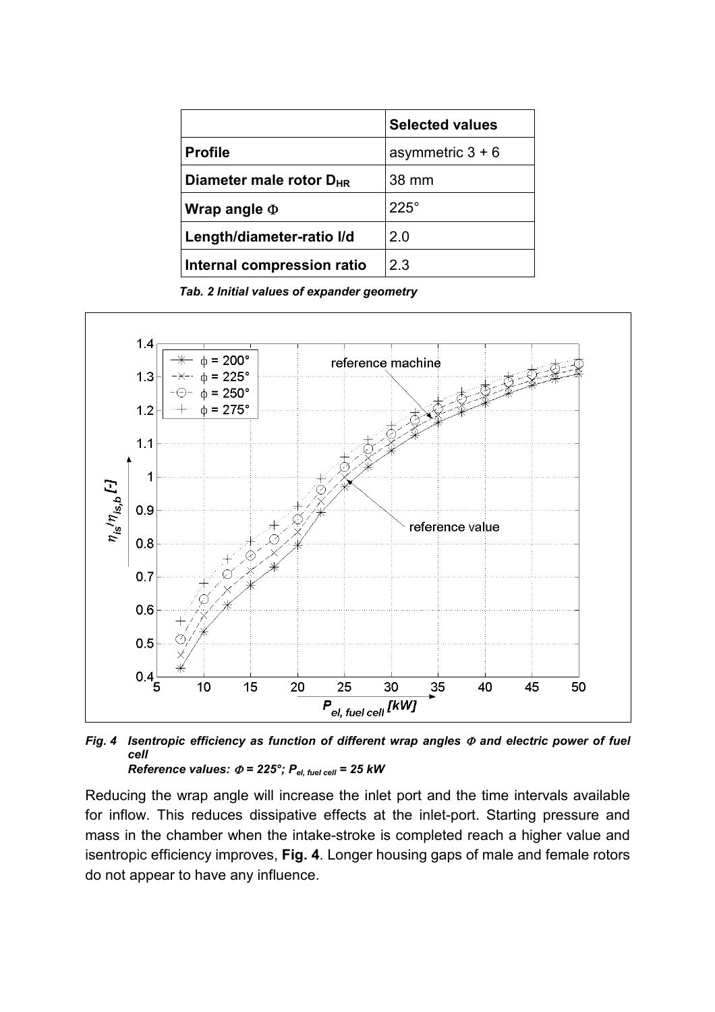|                                     | <b>Selected values</b> |  |
|-------------------------------------|------------------------|--|
| <b>Profile</b>                      | asymmetric $3 + 6$     |  |
| Diameter male rotor D <sub>HR</sub> | 38 mm                  |  |
| Wrap angle $\Phi$                   | $225^\circ$            |  |
| Length/diameter-ratio I/d           | 2.0                    |  |
| Internal compression ratio          | 2.3                    |  |

<span id="page-7-0"></span>*Tab. 2 Initial values of expander geometry*



<span id="page-7-1"></span>*Fig. 4 Isentropic efficiency as function of different wrap angles and electric power of fuel cell Reference values:*  $\Phi$  = 225°;  $P_{el, fuel cell}$  = 25 kW

Reducing the wrap angle will increase the inlet port and the time intervals available for inflow. This reduces dissipative effects at the inlet-port. Starting pressure and mass in the chamber when the intake-stroke is completed reach a higher value and isentropic efficiency improves, **[Fig. 4](#page-7-1)**. Longer housing gaps of male and female rotors do not appear to have any influence.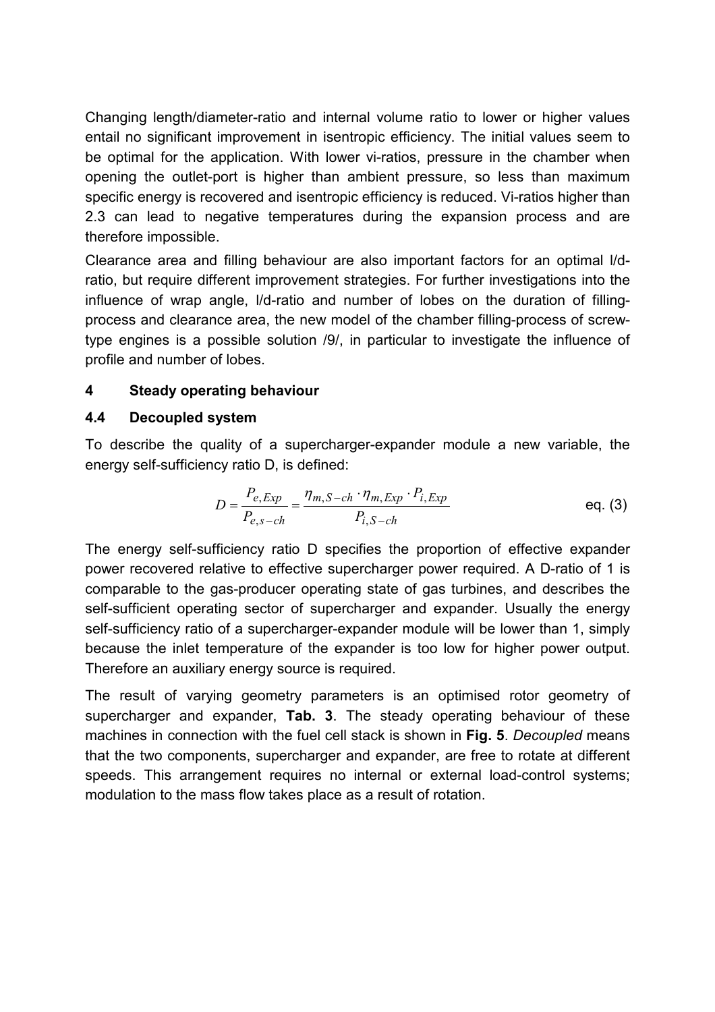Changing length/diameter-ratio and internal volume ratio to lower or higher values entail no significant improvement in isentropic efficiency. The initial values seem to be optimal for the application. With lower vi-ratios, pressure in the chamber when opening the outlet-port is higher than ambient pressure, so less than maximum specific energy is recovered and isentropic efficiency is reduced. Vi-ratios higher than 2.3 can lead to negative temperatures during the expansion process and are therefore impossible.

Clearance area and filling behaviour are also important factors for an optimal l/dratio, but require different improvement strategies. For further investigations into the influence of wrap angle, l/d-ratio and number of lobes on the duration of fillingprocess and clearance area, the new model of the chamber filling-process of screwtype engines is a possible solution /9/, in particular to investigate the influence of profile and number of lobes.

### **4 Steady operating behaviour**

### **4.4 Decoupled system**

To describe the quality of a supercharger-expander module a new variable, the energy self-sufficiency ratio D, is defined:

$$
D = \frac{P_{e, Exp}}{P_{e, s-ch}} = \frac{\eta_{m, S-ch} \cdot \eta_{m, Exp} \cdot P_{i, Exp}}{P_{i, S-ch}}
$$
 eq. (3)

The energy self-sufficiency ratio D specifies the proportion of effective expander power recovered relative to effective supercharger power required. A D-ratio of 1 is comparable to the gas-producer operating state of gas turbines, and describes the self-sufficient operating sector of supercharger and expander. Usually the energy self-sufficiency ratio of a supercharger-expander module will be lower than 1, simply because the inlet temperature of the expander is too low for higher power output. Therefore an auxiliary energy source is required.

The result of varying geometry parameters is an optimised rotor geometry of supercharger and expander, **[Tab. 3](#page-9-0)**. The steady operating behaviour of these machines in connection with the fuel cell stack is shown in **[Fig. 5](#page-9-1)**. *Decoupled* means that the two components, supercharger and expander, are free to rotate at different speeds. This arrangement requires no internal or external load-control systems; modulation to the mass flow takes place as a result of rotation.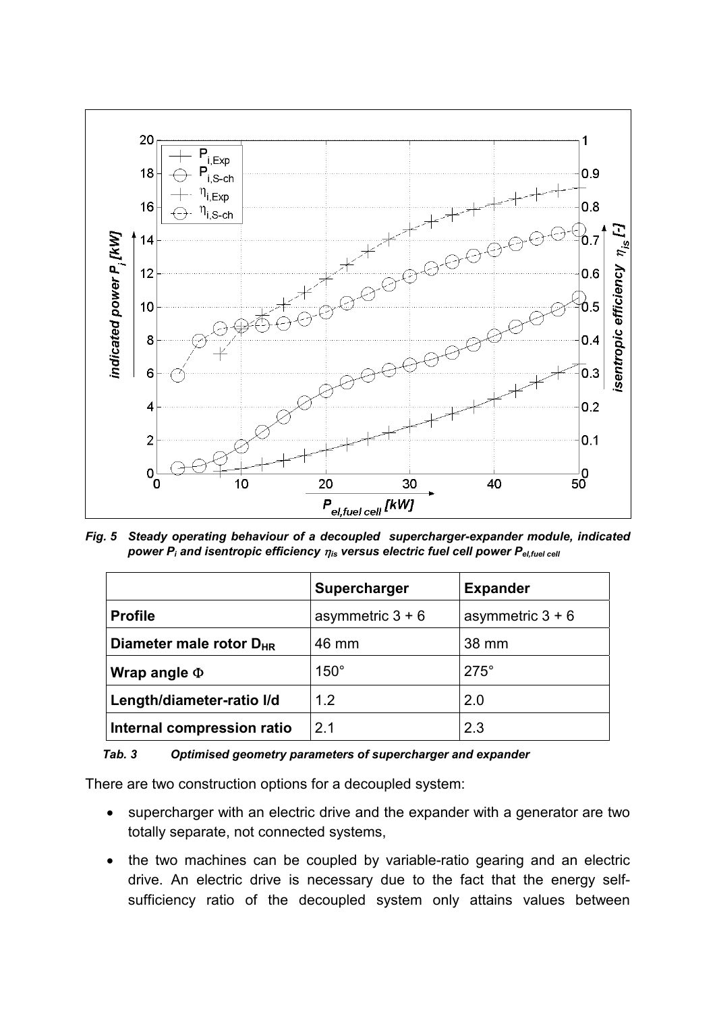

<span id="page-9-1"></span>*Fig. 5 Steady operating behaviour of a decoupled supercharger-expander module, indicated power P<sub>i</sub> and isentropic efficiency*  $\eta_{\text{is}}$  *versus electric fuel cell power P<sub>el,fuel cell</sub>* 

|                                     | Supercharger       | <b>Expander</b>    |
|-------------------------------------|--------------------|--------------------|
| <b>Profile</b>                      | asymmetric $3 + 6$ | asymmetric $3 + 6$ |
| Diameter male rotor D <sub>HR</sub> | 46 mm              | 38 mm              |
| Wrap angle $\Phi$                   | $150^\circ$        | $275^\circ$        |
| Length/diameter-ratio I/d           | 1.2                | 2.0                |
| Internal compression ratio          | 2 <sub>1</sub>     | 2.3                |

#### <span id="page-9-0"></span>*Tab. 3 Optimised geometry parameters of supercharger and expander*

There are two construction options for a decoupled system:

- $\bullet$  supercharger with an electric drive and the expander with a generator are two totally separate, not connected systems,
- the two machines can be coupled by variable-ratio gearing and an electric drive. An electric drive is necessary due to the fact that the energy selfsufficiency ratio of the decoupled system only attains values between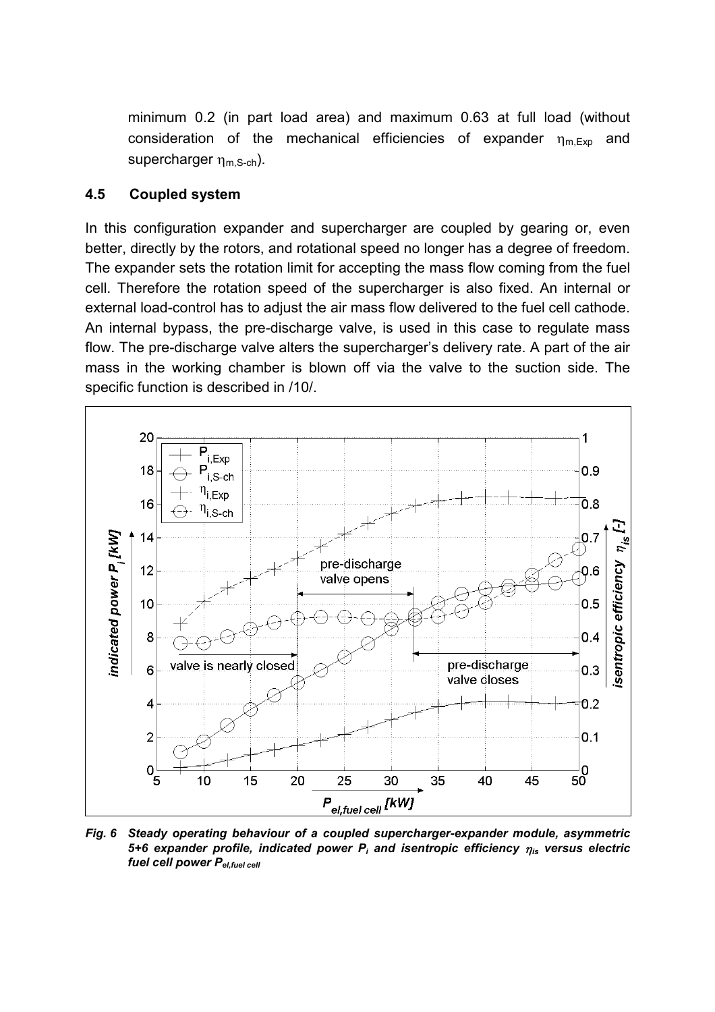minimum 0.2 (in part load area) and maximum 0.63 at full load (without consideration of the mechanical efficiencies of expander  $n_{\text{m-Fxn}}$  and supercharger  $\eta_{m,S-ch}$ ).

#### **4.5 Coupled system**

In this configuration expander and supercharger are coupled by gearing or, even better, directly by the rotors, and rotational speed no longer has a degree of freedom. The expander sets the rotation limit for accepting the mass flow coming from the fuel cell. Therefore the rotation speed of the supercharger is also fixed. An internal or external load-control has to adjust the air mass flow delivered to the fuel cell cathode. An internal bypass, the pre-discharge valve, is used in this case to regulate mass flow. The pre-discharge valve alters the supercharger's delivery rate. A part of the air mass in the working chamber is blown off via the valve to the suction side. The specific function is described in /10/.



<span id="page-10-0"></span>*Fig. 6 Steady operating behaviour of a coupled supercharger-expander module, asymmetric*  5+6 expander profile, indicated power P<sub>i</sub> and isentropic efficiency  $\eta_{is}$  versus electric *fuel cell power Pel,fuel cell*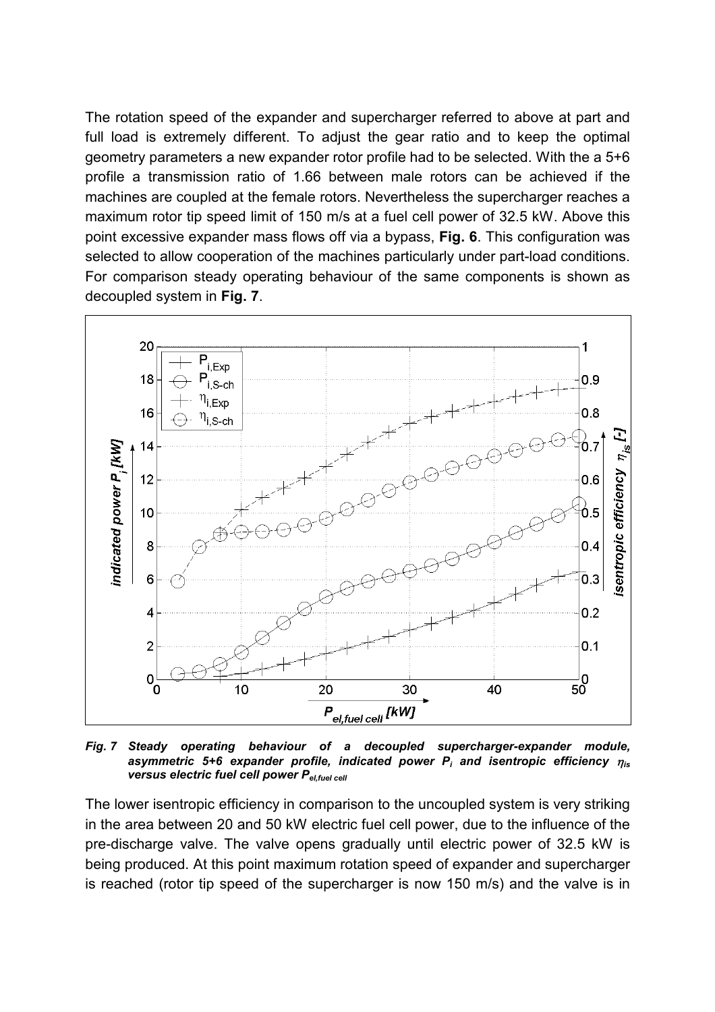The rotation speed of the expander and supercharger referred to above at part and full load is extremely different. To adjust the gear ratio and to keep the optimal geometry parameters a new expander rotor profile had to be selected. With the a 5+6 profile a transmission ratio of 1.66 between male rotors can be achieved if the machines are coupled at the female rotors. Nevertheless the supercharger reaches a maximum rotor tip speed limit of 150 m/s at a fuel cell power of 32.5 kW. Above this point excessive expander mass flows off via a bypass, **[Fig. 6](#page-10-0)**. This configuration was selected to allow cooperation of the machines particularly under part-load conditions. For comparison steady operating behaviour of the same components is shown as decoupled system in **[Fig. 7](#page-11-0)**.



<span id="page-11-0"></span>*Fig. 7 Steady operating behaviour of a decoupled supercharger-expander module, asymmetric 5+6 expander profile, indicated power Pi and isentropic efficiency* -*is versus electric fuel cell power Pel,fuel cell*

The lower isentropic efficiency in comparison to the uncoupled system is very striking in the area between 20 and 50 kW electric fuel cell power, due to the influence of the pre-discharge valve. The valve opens gradually until electric power of 32.5 kW is being produced. At this point maximum rotation speed of expander and supercharger is reached (rotor tip speed of the supercharger is now 150 m/s) and the valve is in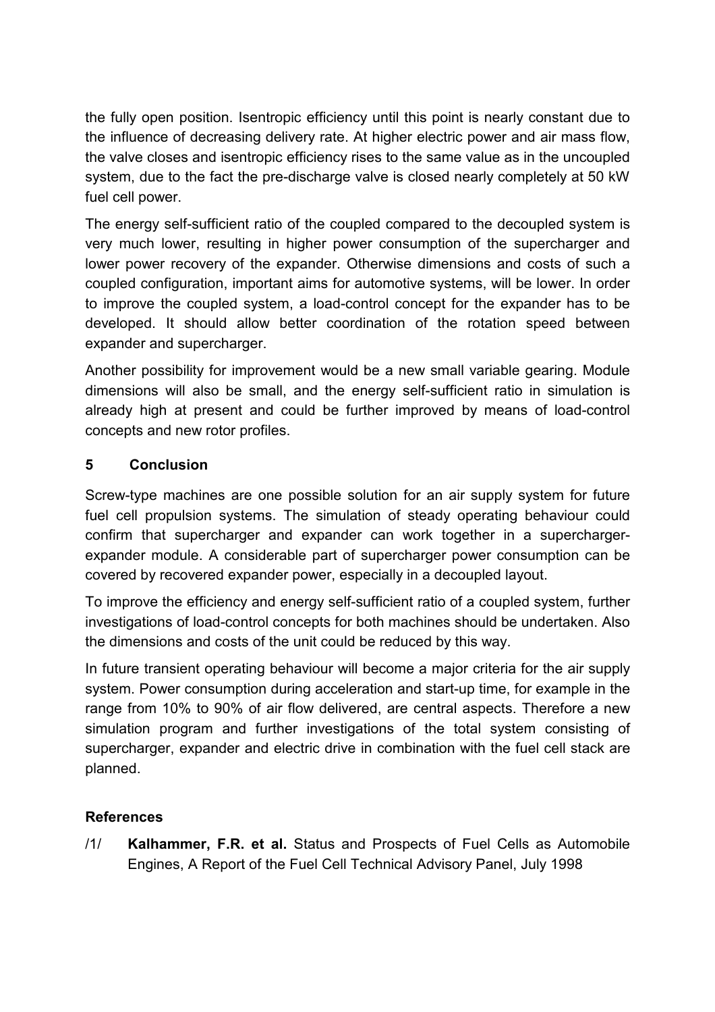the fully open position. Isentropic efficiency until this point is nearly constant due to the influence of decreasing delivery rate. At higher electric power and air mass flow, the valve closes and isentropic efficiency rises to the same value as in the uncoupled system, due to the fact the pre-discharge valve is closed nearly completely at 50 kW fuel cell power.

The energy self-sufficient ratio of the coupled compared to the decoupled system is very much lower, resulting in higher power consumption of the supercharger and lower power recovery of the expander. Otherwise dimensions and costs of such a coupled configuration, important aims for automotive systems, will be lower. In order to improve the coupled system, a load-control concept for the expander has to be developed. It should allow better coordination of the rotation speed between expander and supercharger.

Another possibility for improvement would be a new small variable gearing. Module dimensions will also be small, and the energy self-sufficient ratio in simulation is already high at present and could be further improved by means of load-control concepts and new rotor profiles.

## **5 Conclusion**

Screw-type machines are one possible solution for an air supply system for future fuel cell propulsion systems. The simulation of steady operating behaviour could confirm that supercharger and expander can work together in a superchargerexpander module. A considerable part of supercharger power consumption can be covered by recovered expander power, especially in a decoupled layout.

To improve the efficiency and energy self-sufficient ratio of a coupled system, further investigations of load-control concepts for both machines should be undertaken. Also the dimensions and costs of the unit could be reduced by this way.

In future transient operating behaviour will become a major criteria for the air supply system. Power consumption during acceleration and start-up time, for example in the range from 10% to 90% of air flow delivered, are central aspects. Therefore a new simulation program and further investigations of the total system consisting of supercharger, expander and electric drive in combination with the fuel cell stack are planned.

## **References**

/1/ **Kalhammer, F.R. et al.** Status and Prospects of Fuel Cells as Automobile Engines, A Report of the Fuel Cell Technical Advisory Panel, July 1998